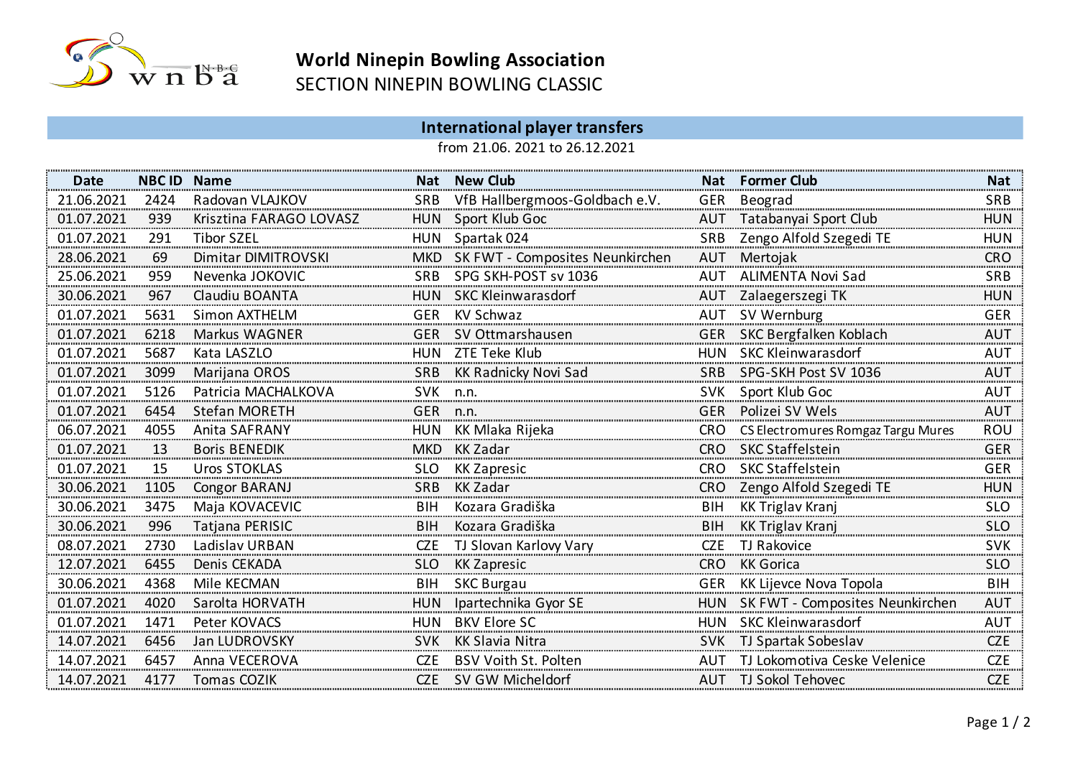

## **World Ninepin Bowling Association**<br>
WORLANING CLASSIC SECTION NINEPIN BOWLING CLASSIC

## **International player transfers**

from 21.06. 2021 to 26.12.2021

| <b>Date</b> | <b>NBC ID Name</b> |                         |            | Nat New Club                        |            | <b>Nat Former Club</b>                 | Nat        |
|-------------|--------------------|-------------------------|------------|-------------------------------------|------------|----------------------------------------|------------|
| 21.06.2021  | 2424               | Radovan VLAJKOV         |            | SRB VfB Hallbergmoos-Goldbach e.V.  |            | GER Beograd                            | <b>SRB</b> |
| 01.07.2021  | 939                | Krisztina FARAGO LOVASZ |            | HUN Sport Klub Goc                  |            | AUT Tatabanyai Sport Club              | <b>HUN</b> |
| 01.07.2021  | 291                | <b>Tibor SZEL</b>       |            | HUN Spartak 024                     |            | SRB Zengo Alfold Szegedi TE            | <b>HUN</b> |
| 28.06.2021  | 69                 | Dimitar DIMITROVSKI     |            | MKD SK FWT - Composites Neunkirchen |            | AUT Mertojak                           | CRO        |
| 25.06.2021  | 959                | Nevenka JOKOVIC         |            | SRB SPG SKH-POST sv 1036            |            | AUT ALIMENTA Novi Sad                  | <b>SRB</b> |
| 30.06.2021  | 967                | Claudiu BOANTA          |            | HUN SKC Kleinwarasdorf              |            | AUT Zalaegerszegi TK                   | <b>HUN</b> |
| 01.07.2021  | 5631               | Simon AXTHELM           |            | GER KV Schwaz                       |            | AUT SV Wernburg                        | <b>GER</b> |
| 01.07.2021  | 6218               | Markus WAGNER           |            | GER SV Ottmarshausen                |            | GER SKC Bergfalken Koblach             | <b>AUT</b> |
| 01.07.2021  | 5687               | Kata LASZLO             |            | HUN ZTE Teke Klub                   |            | HUN SKC Kleinwarasdorf                 | <b>AUT</b> |
| 01.07.2021  | 3099               | Marijana OROS           |            | <b>SRB</b> KK Radnicky Novi Sad     |            | SRB SPG-SKH Post SV 1036               | <b>AUT</b> |
| 01.07.2021  | 5126               | Patricia MACHALKOVA     | SVK n.n.   |                                     |            | SVK Sport Klub Goc                     | <b>AUT</b> |
| 01.07.2021  | 6454               | <b>Stefan MORETH</b>    | GER n.n.   |                                     | <b>GER</b> | Polizei SV Wels                        | <b>AUT</b> |
| 06.07.2021  | 4055               | Anita SAFRANY           |            | HUN KK Mlaka Rijeka                 |            | CRO CS Electromures Romgaz Targu Mures | ROU        |
| 01.07.2021  | 13                 | <b>Boris BENEDIK</b>    |            | MKD KK Zadar                        |            | CRO SKC Staffelstein                   | <b>GER</b> |
| 01.07.2021  | 15                 | <b>Uros STOKLAS</b>     | <b>SLO</b> | KK Zapresic                         |            | CRO SKC Staffelstein                   | <b>GER</b> |
| 30.06.2021  | 1105               | Congor BARANJ           | <b>SRB</b> | KK Zadar                            |            | CRO Zengo Alfold Szegedi TE            | <b>HUN</b> |
| 30.06.2021  | 3475               | Maja KOVACEVIC          | BIH        | Kozara Gradiška                     | <b>BIH</b> | KK Triglav Kranj                       | <b>SLO</b> |
| 30.06.2021  | 996                | Tatjana PERISIC         | <b>BIH</b> | Kozara Gradiška                     | <b>BIH</b> | <b>KK Triglav Kranj</b>                | <b>SLO</b> |
| 08.07.2021  | 2730               | Ladislav URBAN          | CZE        | TJ Slovan Karlovy Vary              | CZE        | TJ Rakovice                            | <b>SVK</b> |
| 12.07.2021  | 6455               | Denis CEKADA            | <b>SLO</b> | <b>KK Zapresic</b>                  | <b>CRO</b> | <b>KK Gorica</b>                       | SLO        |
| 30.06.2021  | 4368               | Mile KECMAN             |            | <b>BIH SKC Burgau</b>               |            | GER KK Lijevce Nova Topola             | <b>BIH</b> |
| 01.07.2021  | 4020               | Sarolta HORVATH         |            | HUN Ipartechnika Gyor SE            |            | HUN SK FWT - Composites Neunkirchen    | <b>AUT</b> |
| 01.07.2021  | 1471               | Peter KOVACS            |            | HUN BKV Elore SC                    |            | HUN SKC Kleinwarasdorf                 | AUT        |
| 14.07.2021  | 6456               | Jan LUDROVSKY           | <b>SVK</b> | KK Slavia Nitra                     |            | SVK TJ Spartak Sobeslav                | <b>CZE</b> |
| 14.07.2021  | 6457               | Anna VECEROVA           | CZE        | <b>BSV Voith St. Polten</b>         |            | AUT TJ Lokomotiva Ceske Velenice       | CZE        |
| 14.07.2021  | 4177               | Tomas COZIK             |            | CZE SV GW Micheldorf                |            | AUT TJ Sokol Tehovec                   | CZE        |